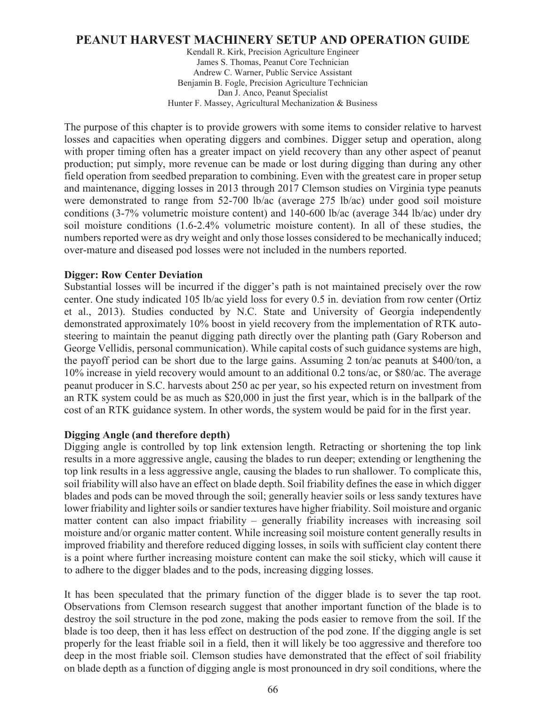# **PEANUT HARVEST MACHINERY SETUP AND OPERATION GUIDE**

Kendall R. Kirk, Precision Agriculture Engineer James S. Thomas, Peanut Core Technician Andrew C. Warner, Public Service Assistant Benjamin B. Fogle, Precision Agriculture Technician Dan J. Anco, Peanut Specialist Hunter F. Massey, Agricultural Mechanization & Business

The purpose of this chapter is to provide growers with some items to consider relative to harvest losses and capacities when operating diggers and combines. Digger setup and operation, along with proper timing often has a greater impact on yield recovery than any other aspect of peanut production; put simply, more revenue can be made or lost during digging than during any other field operation from seedbed preparation to combining. Even with the greatest care in proper setup and maintenance, digging losses in 2013 through 2017 Clemson studies on Virginia type peanuts were demonstrated to range from 52-700 lb/ac (average 275 lb/ac) under good soil moisture conditions (3-7% volumetric moisture content) and 140-600 lb/ac (average 344 lb/ac) under dry soil moisture conditions (1.6-2.4% volumetric moisture content). In all of these studies, the numbers reported were as dry weight and only those losses considered to be mechanically induced; over-mature and diseased pod losses were not included in the numbers reported.

#### **Digger: Row Center Deviation**

Substantial losses will be incurred if the digger's path is not maintained precisely over the row center. One study indicated 105 lb/ac yield loss for every 0.5 in. deviation from row center (Ortiz et al., 2013). Studies conducted by N.C. State and University of Georgia independently demonstrated approximately 10% boost in yield recovery from the implementation of RTK autosteering to maintain the peanut digging path directly over the planting path (Gary Roberson and George Vellidis, personal communication). While capital costs of such guidance systems are high, the payoff period can be short due to the large gains. Assuming 2 ton/ac peanuts at \$400/ton, a 10% increase in yield recovery would amount to an additional 0.2 tons/ac, or \$80/ac. The average peanut producer in S.C. harvests about 250 ac per year, so his expected return on investment from an RTK system could be as much as \$20,000 in just the first year, which is in the ballpark of the cost of an RTK guidance system. In other words, the system would be paid for in the first year.

#### **Digging Angle (and therefore depth)**

Digging angle is controlled by top link extension length. Retracting or shortening the top link results in a more aggressive angle, causing the blades to run deeper; extending or lengthening the top link results in a less aggressive angle, causing the blades to run shallower. To complicate this, soil friability will also have an effect on blade depth. Soil friability defines the ease in which digger blades and pods can be moved through the soil; generally heavier soils or less sandy textures have lower friability and lighter soils or sandier textures have higher friability. Soil moisture and organic matter content can also impact friability – generally friability increases with increasing soil moisture and/or organic matter content. While increasing soil moisture content generally results in improved friability and therefore reduced digging losses, in soils with sufficient clay content there is a point where further increasing moisture content can make the soil sticky, which will cause it to adhere to the digger blades and to the pods, increasing digging losses.

It has been speculated that the primary function of the digger blade is to sever the tap root. Observations from Clemson research suggest that another important function of the blade is to destroy the soil structure in the pod zone, making the pods easier to remove from the soil. If the blade is too deep, then it has less effect on destruction of the pod zone. If the digging angle is set properly for the least friable soil in a field, then it will likely be too aggressive and therefore too deep in the most friable soil. Clemson studies have demonstrated that the effect of soil friability on blade depth as a function of digging angle is most pronounced in dry soil conditions, where the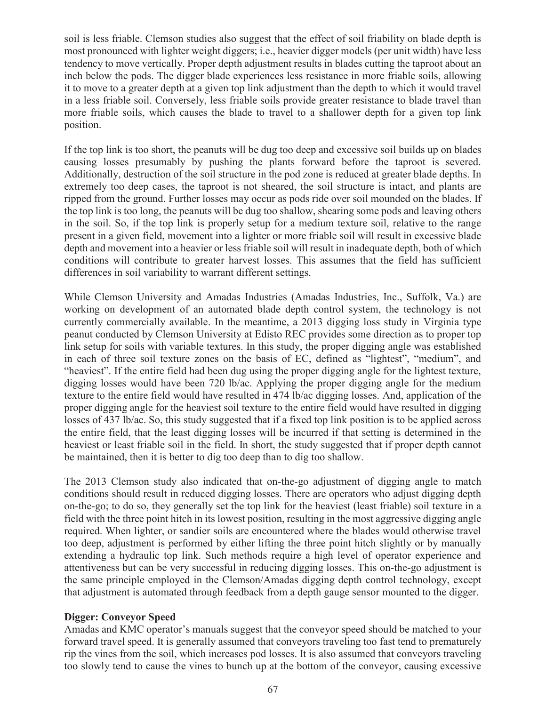soil is less friable. Clemson studies also suggest that the effect of soil friability on blade depth is most pronounced with lighter weight diggers; i.e., heavier digger models (per unit width) have less tendency to move vertically. Proper depth adjustment results in blades cutting the taproot about an inch below the pods. The digger blade experiences less resistance in more friable soils, allowing it to move to a greater depth at a given top link adjustment than the depth to which it would travel in a less friable soil. Conversely, less friable soils provide greater resistance to blade travel than more friable soils, which causes the blade to travel to a shallower depth for a given top link position.

If the top link is too short, the peanuts will be dug too deep and excessive soil builds up on blades causing losses presumably by pushing the plants forward before the taproot is severed. Additionally, destruction of the soil structure in the pod zone is reduced at greater blade depths. In extremely too deep cases, the taproot is not sheared, the soil structure is intact, and plants are ripped from the ground. Further losses may occur as pods ride over soil mounded on the blades. If the top link is too long, the peanuts will be dug too shallow, shearing some pods and leaving others in the soil. So, if the top link is properly setup for a medium texture soil, relative to the range present in a given field, movement into a lighter or more friable soil will result in excessive blade depth and movement into a heavier or less friable soil will result in inadequate depth, both of which conditions will contribute to greater harvest losses. This assumes that the field has sufficient differences in soil variability to warrant different settings.

While Clemson University and Amadas Industries (Amadas Industries, Inc., Suffolk, Va.) are working on development of an automated blade depth control system, the technology is not currently commercially available. In the meantime, a 2013 digging loss study in Virginia type peanut conducted by Clemson University at Edisto REC provides some direction as to proper top link setup for soils with variable textures. In this study, the proper digging angle was established in each of three soil texture zones on the basis of EC, defined as "lightest", "medium", and "heaviest". If the entire field had been dug using the proper digging angle for the lightest texture, digging losses would have been 720 lb/ac. Applying the proper digging angle for the medium texture to the entire field would have resulted in 474 lb/ac digging losses. And, application of the proper digging angle for the heaviest soil texture to the entire field would have resulted in digging losses of 437 lb/ac. So, this study suggested that if a fixed top link position is to be applied across the entire field, that the least digging losses will be incurred if that setting is determined in the heaviest or least friable soil in the field. In short, the study suggested that if proper depth cannot be maintained, then it is better to dig too deep than to dig too shallow.

The 2013 Clemson study also indicated that on-the-go adjustment of digging angle to match conditions should result in reduced digging losses. There are operators who adjust digging depth on-the-go; to do so, they generally set the top link for the heaviest (least friable) soil texture in a field with the three point hitch in its lowest position, resulting in the most aggressive digging angle required. When lighter, or sandier soils are encountered where the blades would otherwise travel too deep, adjustment is performed by either lifting the three point hitch slightly or by manually extending a hydraulic top link. Such methods require a high level of operator experience and attentiveness but can be very successful in reducing digging losses. This on-the-go adjustment is the same principle employed in the Clemson/Amadas digging depth control technology, except that adjustment is automated through feedback from a depth gauge sensor mounted to the digger.

# **Digger: Conveyor Speed**

Amadas and KMC operator's manuals suggest that the conveyor speed should be matched to your forward travel speed. It is generally assumed that conveyors traveling too fast tend to prematurely rip the vines from the soil, which increases pod losses. It is also assumed that conveyors traveling too slowly tend to cause the vines to bunch up at the bottom of the conveyor, causing excessive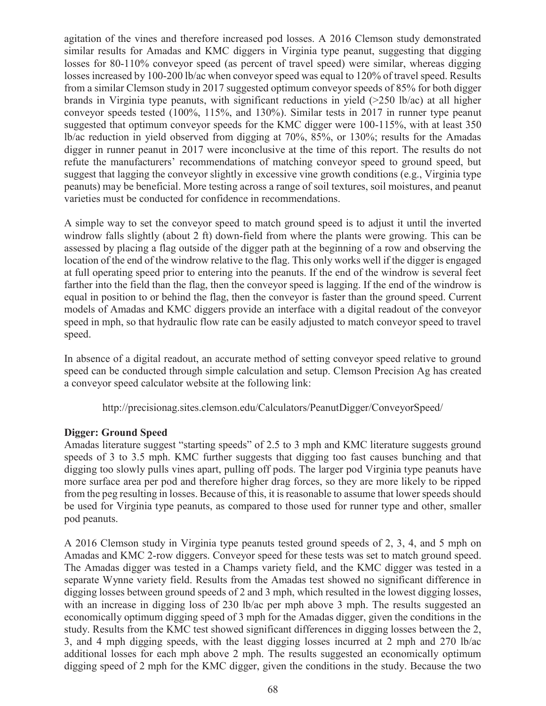agitation of the vines and therefore increased pod losses. A 2016 Clemson study demonstrated similar results for Amadas and KMC diggers in Virginia type peanut, suggesting that digging losses for 80-110% conveyor speed (as percent of travel speed) were similar, whereas digging losses increased by 100-200 lb/ac when conveyor speed was equal to 120% of travel speed. Results from a similar Clemson study in 2017 suggested optimum conveyor speeds of 85% for both digger brands in Virginia type peanuts, with significant reductions in yield  $(>250 \text{ lb/ac})$  at all higher conveyor speeds tested (100%, 115%, and 130%). Similar tests in 2017 in runner type peanut suggested that optimum conveyor speeds for the KMC digger were 100-115%, with at least 350 lb/ac reduction in yield observed from digging at 70%, 85%, or 130%; results for the Amadas digger in runner peanut in 2017 were inconclusive at the time of this report. The results do not refute the manufacturers' recommendations of matching conveyor speed to ground speed, but suggest that lagging the conveyor slightly in excessive vine growth conditions (e.g., Virginia type peanuts) may be beneficial. More testing across a range of soil textures, soil moistures, and peanut varieties must be conducted for confidence in recommendations.

A simple way to set the conveyor speed to match ground speed is to adjust it until the inverted windrow falls slightly (about 2 ft) down-field from where the plants were growing. This can be assessed by placing a flag outside of the digger path at the beginning of a row and observing the location of the end of the windrow relative to the flag. This only works well if the digger is engaged at full operating speed prior to entering into the peanuts. If the end of the windrow is several feet farther into the field than the flag, then the conveyor speed is lagging. If the end of the windrow is equal in position to or behind the flag, then the conveyor is faster than the ground speed. Current models of Amadas and KMC diggers provide an interface with a digital readout of the conveyor speed in mph, so that hydraulic flow rate can be easily adjusted to match conveyor speed to travel speed.

In absence of a digital readout, an accurate method of setting conveyor speed relative to ground speed can be conducted through simple calculation and setup. Clemson Precision Ag has created a conveyor speed calculator website at the following link:

http://precisionag.sites.clemson.edu/Calculators/PeanutDigger/ConveyorSpeed/

# **Digger: Ground Speed**

Amadas literature suggest "starting speeds" of 2.5 to 3 mph and KMC literature suggests ground speeds of 3 to 3.5 mph. KMC further suggests that digging too fast causes bunching and that digging too slowly pulls vines apart, pulling off pods. The larger pod Virginia type peanuts have more surface area per pod and therefore higher drag forces, so they are more likely to be ripped from the peg resulting in losses. Because of this, it is reasonable to assume that lower speeds should be used for Virginia type peanuts, as compared to those used for runner type and other, smaller pod peanuts.

A 2016 Clemson study in Virginia type peanuts tested ground speeds of 2, 3, 4, and 5 mph on Amadas and KMC 2-row diggers. Conveyor speed for these tests was set to match ground speed. The Amadas digger was tested in a Champs variety field, and the KMC digger was tested in a separate Wynne variety field. Results from the Amadas test showed no significant difference in digging losses between ground speeds of 2 and 3 mph, which resulted in the lowest digging losses, with an increase in digging loss of 230 lb/ac per mph above 3 mph. The results suggested an economically optimum digging speed of 3 mph for the Amadas digger, given the conditions in the study. Results from the KMC test showed significant differences in digging losses between the 2, 3, and 4 mph digging speeds, with the least digging losses incurred at 2 mph and 270 lb/ac additional losses for each mph above 2 mph. The results suggested an economically optimum digging speed of 2 mph for the KMC digger, given the conditions in the study. Because the two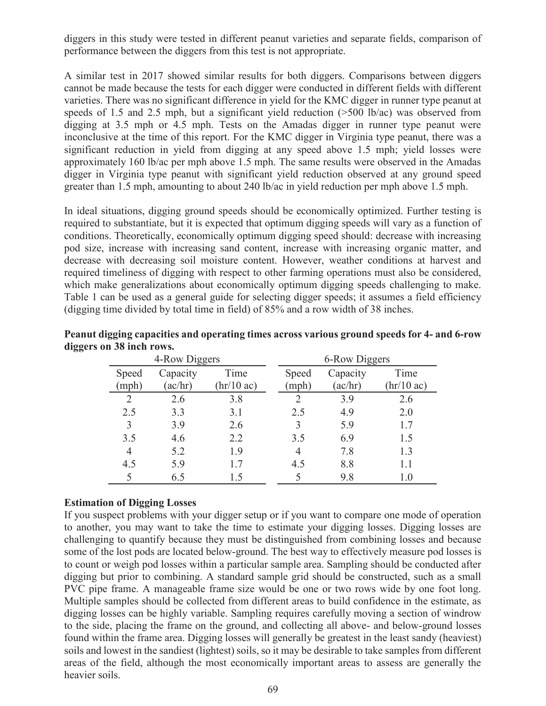diggers in this study were tested in different peanut varieties and separate fields, comparison of performance between the diggers from this test is not appropriate.

A similar test in 2017 showed similar results for both diggers. Comparisons between diggers cannot be made because the tests for each digger were conducted in different fields with different varieties. There was no significant difference in yield for the KMC digger in runner type peanut at speeds of 1.5 and 2.5 mph, but a significant yield reduction (>500 lb/ac) was observed from digging at 3.5 mph or 4.5 mph. Tests on the Amadas digger in runner type peanut were inconclusive at the time of this report. For the KMC digger in Virginia type peanut, there was a significant reduction in yield from digging at any speed above 1.5 mph; yield losses were approximately 160 lb/ac per mph above 1.5 mph. The same results were observed in the Amadas digger in Virginia type peanut with significant yield reduction observed at any ground speed greater than 1.5 mph, amounting to about 240 lb/ac in yield reduction per mph above 1.5 mph.

In ideal situations, digging ground speeds should be economically optimized. Further testing is required to substantiate, but it is expected that optimum digging speeds will vary as a function of conditions. Theoretically, economically optimum digging speed should: decrease with increasing pod size, increase with increasing sand content, increase with increasing organic matter, and decrease with decreasing soil moisture content. However, weather conditions at harvest and required timeliness of digging with respect to other farming operations must also be considered, which make generalizations about economically optimum digging speeds challenging to make. Table 1 can be used as a general guide for selecting digger speeds; it assumes a field efficiency (digging time divided by total time in field) of 85% and a row width of 38 inches.

|                | 4-Row Diggers       |                              |                | 6-Row Diggers       |                                          |  |  |  |
|----------------|---------------------|------------------------------|----------------|---------------------|------------------------------------------|--|--|--|
| Speed<br>(mph) | Capacity<br>(ac/hr) | Time<br>$(hr/10 \text{ ac})$ | Speed<br>(mph) | Capacity<br>(ac/hr) | Time<br>$\left(\frac{hr}{10}\right)$ ac) |  |  |  |
|                | 2.6                 | 3.8                          |                | 3.9                 | 2.6                                      |  |  |  |
| 2.5            | 3.3                 | 3.1                          | 2.5            | 4.9                 | 2.0                                      |  |  |  |
| 3              | 3.9                 | 2.6                          |                | 5.9                 | 17                                       |  |  |  |
| 3.5            | 4.6                 | 2.2                          | 3.5            | 6.9                 | 15                                       |  |  |  |
| 4              | 5.2                 | 1.9                          | 4              | 7.8                 | 1.3                                      |  |  |  |
| 4.5            | 5.9                 | 17                           | 4.5            | 8.8                 | 1.1                                      |  |  |  |
|                | 6.5                 | 15                           |                | 9.8                 | 1.0                                      |  |  |  |

**Peanut digging capacities and operating times across various ground speeds for 4- and 6-row diggers on 38 inch rows.** 

# **Estimation of Digging Losses**

If you suspect problems with your digger setup or if you want to compare one mode of operation to another, you may want to take the time to estimate your digging losses. Digging losses are challenging to quantify because they must be distinguished from combining losses and because some of the lost pods are located below-ground. The best way to effectively measure pod losses is to count or weigh pod losses within a particular sample area. Sampling should be conducted after digging but prior to combining. A standard sample grid should be constructed, such as a small PVC pipe frame. A manageable frame size would be one or two rows wide by one foot long. Multiple samples should be collected from different areas to build confidence in the estimate, as digging losses can be highly variable. Sampling requires carefully moving a section of windrow to the side, placing the frame on the ground, and collecting all above- and below-ground losses found within the frame area. Digging losses will generally be greatest in the least sandy (heaviest) soils and lowest in the sandiest (lightest) soils, so it may be desirable to take samples from different areas of the field, although the most economically important areas to assess are generally the heavier soils.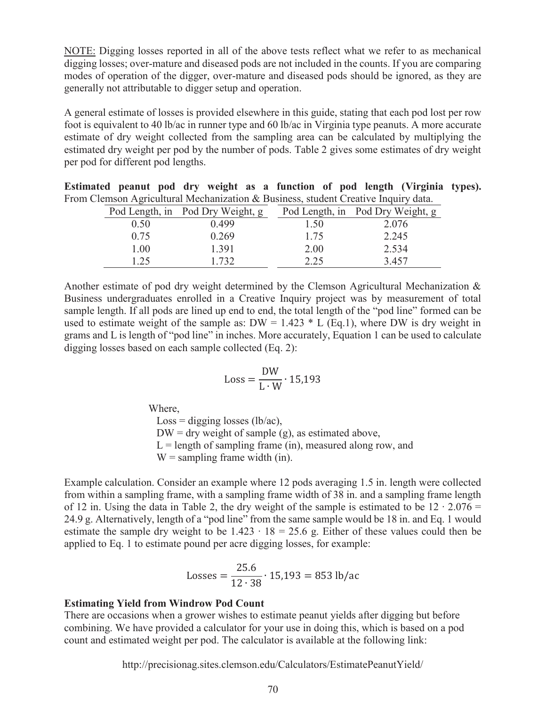NOTE: Digging losses reported in all of the above tests reflect what we refer to as mechanical digging losses; over-mature and diseased pods are not included in the counts. If you are comparing modes of operation of the digger, over-mature and diseased pods should be ignored, as they are generally not attributable to digger setup and operation.

A general estimate of losses is provided elsewhere in this guide, stating that each pod lost per row foot is equivalent to 40 lb/ac in runner type and 60 lb/ac in Virginia type peanuts. A more accurate estimate of dry weight collected from the sampling area can be calculated by multiplying the estimated dry weight per pod by the number of pods. Table 2 gives some estimates of dry weight per pod for different pod lengths.

| Estimated peanut pod dry weight as a function of pod length (Virginia types).      |  |  |  |  |  |  |
|------------------------------------------------------------------------------------|--|--|--|--|--|--|
| From Clemson Agricultural Mechanization & Business, student Creative Inquiry data. |  |  |  |  |  |  |

|      | $\alpha$ being the second contract the commutation of $\alpha$ basiness, station create $\alpha$ in an $\gamma$ and $\alpha$ . |  |      |                                  |
|------|--------------------------------------------------------------------------------------------------------------------------------|--|------|----------------------------------|
|      | Pod Length, in Pod Dry Weight, g                                                                                               |  |      | Pod Length, in Pod Dry Weight, g |
| 0.50 | 0.499                                                                                                                          |  | 1.50 | 2.076                            |
| 0.75 | 0.269                                                                                                                          |  | 1.75 | 2.245                            |
| 1.00 | 1.391                                                                                                                          |  | 2.00 | 2.534                            |
| 1.25 | 1.732                                                                                                                          |  | 2.25 | 3.457                            |

Another estimate of pod dry weight determined by the Clemson Agricultural Mechanization & Business undergraduates enrolled in a Creative Inquiry project was by measurement of total sample length. If all pods are lined up end to end, the total length of the "pod line" formed can be used to estimate weight of the sample as:  $DW = 1.423 * L$  (Eq.1), where DW is dry weight in grams and L is length of "pod line" in inches. More accurately, Equation 1 can be used to calculate digging losses based on each sample collected (Eq. 2):

$$
Loss = \frac{DW}{L \cdot W} \cdot 15,193
$$

Where,

 $Loss =$  digging losses (lb/ac),  $DW =$  dry weight of sample (g), as estimated above,  $L =$  length of sampling frame (in), measured along row, and  $W =$  sampling frame width (in).

Example calculation. Consider an example where 12 pods averaging 1.5 in. length were collected from within a sampling frame, with a sampling frame width of 38 in. and a sampling frame length of 12 in. Using the data in Table 2, the dry weight of the sample is estimated to be 12 ∙ 2.076 = 24.9 g. Alternatively, length of a "pod line" from the same sample would be 18 in. and Eq. 1 would estimate the sample dry weight to be  $1.423 \cdot 18 = 25.6$  g. Either of these values could then be applied to Eq. 1 to estimate pound per acre digging losses, for example:

Losses = 
$$
\frac{25.6}{12 \cdot 38} \cdot 15,193 = 853 \text{ lb/ac}
$$

#### **Estimating Yield from Windrow Pod Count**

There are occasions when a grower wishes to estimate peanut yields after digging but before combining. We have provided a calculator for your use in doing this, which is based on a pod count and estimated weight per pod. The calculator is available at the following link:

http://precisionag.sites.clemson.edu/Calculators/EstimatePeanutYield/